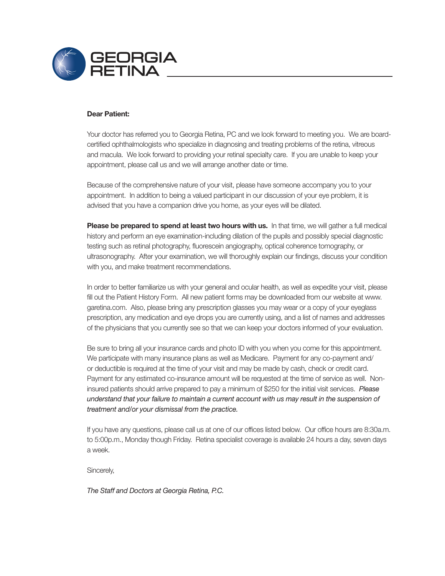

### Dear Patient:

Your doctor has referred you to Georgia Retina, PC and we look forward to meeting you. We are boardcertifed ophthalmologists who specialize in diagnosing and treating problems of the retina, vitreous and macula. We look forward to providing your retinal specialty care. If you are unable to keep your appointment, please call us and we will arrange another date or time.

Because of the comprehensive nature of your visit, please have someone accompany you to your appointment. In addition to being a valued participant in our discussion of your eye problem, it is advised that you have a companion drive you home, as your eyes will be dilated.

Please be prepared to spend at least two hours with us. In that time, we will gather a full medical history and perform an eye examination-including dilation of the pupils and possibly special diagnostic testing such as retinal photography, fuorescein angiography, optical coherence tomography, or ultrasonography. After your examination, we will thoroughly explain our fndings, discuss your condition with you, and make treatment recommendations.

In order to better familiarize us with your general and ocular health, as well as expedite your visit, please fill out the Patient History Form. All new patient forms may be downloaded from our website at www. garetina.com. Also, please bring any prescription glasses you may wear or a copy of your eyeglass prescription, any medication and eye drops you are currently using, and a list of names and addresses of the physicians that you currently see so that we can keep your doctors informed of your evaluation.

Be sure to bring all your insurance cards and photo ID with you when you come for this appointment. We participate with many insurance plans as well as Medicare. Payment for any co-payment and/ or deductible is required at the time of your visit and may be made by cash, check or credit card. Payment for any estimated co-insurance amount will be requested at the time of service as well. Noninsured patients should arrive prepared to pay a minimum of \$250 for the initial visit services. *Please understand that your failure to maintain a current account with us may result in the suspension of treatment and/or your dismissal from the practice.*

If you have any questions, please call us at one of our offices listed below. Our office hours are 8:30a.m. to 5:00p.m., Monday though Friday. Retina specialist coverage is available 24 hours a day, seven days a week.

Sincerely,

*The Staff and Doctors at Georgia Retina, P.C.*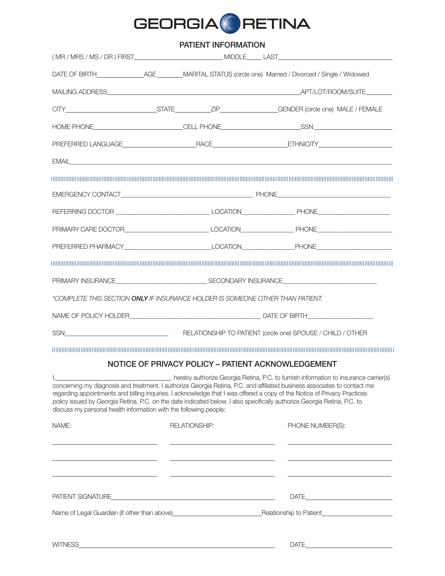

# PATIENT INFORMATION

|                                                                                |  |                                                                            | HOME PHONE____________________________CELL PHONE_________________________________                                                                                                                                                                                                                                                                                                                                                                                           |  |
|--------------------------------------------------------------------------------|--|----------------------------------------------------------------------------|-----------------------------------------------------------------------------------------------------------------------------------------------------------------------------------------------------------------------------------------------------------------------------------------------------------------------------------------------------------------------------------------------------------------------------------------------------------------------------|--|
|                                                                                |  |                                                                            |                                                                                                                                                                                                                                                                                                                                                                                                                                                                             |  |
|                                                                                |  |                                                                            |                                                                                                                                                                                                                                                                                                                                                                                                                                                                             |  |
|                                                                                |  |                                                                            |                                                                                                                                                                                                                                                                                                                                                                                                                                                                             |  |
|                                                                                |  |                                                                            |                                                                                                                                                                                                                                                                                                                                                                                                                                                                             |  |
|                                                                                |  |                                                                            |                                                                                                                                                                                                                                                                                                                                                                                                                                                                             |  |
|                                                                                |  |                                                                            | PRIMARY CARE DOCTOR_________________________________LOCATION_____________________PHONE________________________                                                                                                                                                                                                                                                                                                                                                              |  |
|                                                                                |  |                                                                            | PREFERRED PHARMACY___________________________________LOCATION____________________PHONE________________________                                                                                                                                                                                                                                                                                                                                                              |  |
|                                                                                |  |                                                                            |                                                                                                                                                                                                                                                                                                                                                                                                                                                                             |  |
|                                                                                |  |                                                                            |                                                                                                                                                                                                                                                                                                                                                                                                                                                                             |  |
| *COMPLETE THIS SECTION ONLY IF INSURANCE HOLDER IS SOMEONE OTHER THAN PATIENT. |  |                                                                            |                                                                                                                                                                                                                                                                                                                                                                                                                                                                             |  |
|                                                                                |  |                                                                            |                                                                                                                                                                                                                                                                                                                                                                                                                                                                             |  |
|                                                                                |  |                                                                            |                                                                                                                                                                                                                                                                                                                                                                                                                                                                             |  |
|                                                                                |  |                                                                            |                                                                                                                                                                                                                                                                                                                                                                                                                                                                             |  |
|                                                                                |  |                                                                            | NOTICE OF PRIVACY POLICY - PATIENT ACKNOWLEDGEMENT                                                                                                                                                                                                                                                                                                                                                                                                                          |  |
| discuss my personal health information with the following people:              |  |                                                                            | _, hereby authorize Georgia Retina, P.C. to furnish information to insurance carrier(s)<br>concerning my diagnosis and treatment. I authorize Georgia Retina, P.C. and affiliated business associates to contact me<br>regarding appointments and billing inquiries. I acknowledge that I was offered a copy of the Notice of Privacy Practices<br>policy issued by Georgia Retina, P.C. on the date indicated below. I also specifically authorize Georgia Retina, P.C. to |  |
| NAME:                                                                          |  | <b>RELATIONSHIP:</b>                                                       | PHONE NUMBER(S):                                                                                                                                                                                                                                                                                                                                                                                                                                                            |  |
|                                                                                |  | the control of the control of the control of the control of the control of |                                                                                                                                                                                                                                                                                                                                                                                                                                                                             |  |
|                                                                                |  |                                                                            |                                                                                                                                                                                                                                                                                                                                                                                                                                                                             |  |
|                                                                                |  |                                                                            | Name of Legal Guardian (if other than above) entitled and according to Patient Patient Control of Legal Guardian (if other than above)                                                                                                                                                                                                                                                                                                                                      |  |
|                                                                                |  |                                                                            |                                                                                                                                                                                                                                                                                                                                                                                                                                                                             |  |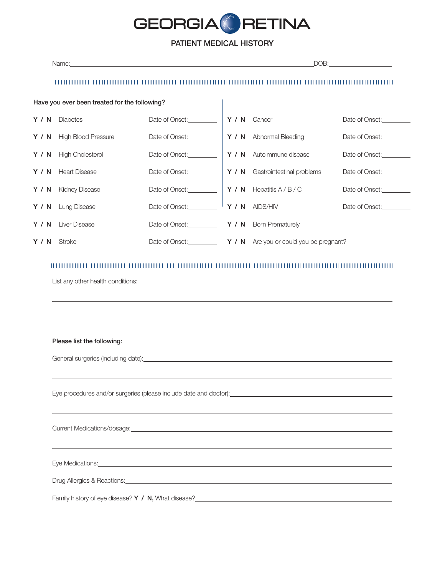

# PATIENT MEDICAL HISTORY

|     | Name: Name: 2008 and 2008 and 2008 and 2008 and 2008 and 2008 and 2008 and 2008 and 2008 and 2008 and 2008 and 2008 and 2008 and 2008 and 2008 and 2008 and 2008 and 2008 and 2008 and 2008 and 2008 and 2008 and 2008 and 200       |                                              |              | DOB:                                                          |                |  |  |
|-----|--------------------------------------------------------------------------------------------------------------------------------------------------------------------------------------------------------------------------------------|----------------------------------------------|--------------|---------------------------------------------------------------|----------------|--|--|
|     | <u> 1989 - Andrea Station Andrew Maria (1989), and the stationary of the stationary of the stationary of the stationary of the stationary of the stationary of the stationary of the stationary of the stationary of the station</u> |                                              |              |                                                               |                |  |  |
|     | Have you ever been treated for the following?                                                                                                                                                                                        |                                              |              |                                                               |                |  |  |
|     | Y / N Diabetes                                                                                                                                                                                                                       | Date of Onset:_________                      | Y / N Cancer |                                                               | Date of Onset: |  |  |
|     | Y / N High Blood Pressure                                                                                                                                                                                                            |                                              |              | Y / N Abnormal Bleeding                                       | Date of Onset: |  |  |
| Y/N | <b>High Cholesterol</b>                                                                                                                                                                                                              | Date of Onset:__________                     |              | Y / N Autoimmune disease                                      | Date of Onset: |  |  |
|     | Y / N Heart Disease                                                                                                                                                                                                                  |                                              |              | Y / N Gastrointestinal problems                               | Date of Onset: |  |  |
|     | Y / N Kidney Disease                                                                                                                                                                                                                 |                                              |              | $Y / N$ Hepatitis A/B/C                                       | Date of Onset: |  |  |
|     | Y / N Lung Disease                                                                                                                                                                                                                   | Date of Onset:                               |              | Y / N AIDS/HIV                                                | Date of Onset: |  |  |
|     | Y / N Liver Disease                                                                                                                                                                                                                  | Date of Onset: <b>Y</b> / N Born Prematurely |              |                                                               |                |  |  |
| Y/N | Stroke                                                                                                                                                                                                                               |                                              |              | Date of Onset: <b>Y</b> / N Are you or could you be pregnant? |                |  |  |
|     | Please list the following:                                                                                                                                                                                                           |                                              |              |                                                               |                |  |  |
|     |                                                                                                                                                                                                                                      |                                              |              |                                                               |                |  |  |
|     |                                                                                                                                                                                                                                      |                                              |              |                                                               |                |  |  |
|     |                                                                                                                                                                                                                                      |                                              |              |                                                               |                |  |  |
|     | Eye Medications: <u>example and a series of the series of the series of the series of the series of the series of the series of the series of the series of the series of the series of the series of the series of the series o</u> |                                              |              |                                                               |                |  |  |
|     | Drug Allergies & Reactions: <u>entitled and a series of the series of the series of the series of the series of the series of the series of the series of the series of the series of the series of the series of the series of </u> |                                              |              |                                                               |                |  |  |
|     |                                                                                                                                                                                                                                      |                                              |              |                                                               |                |  |  |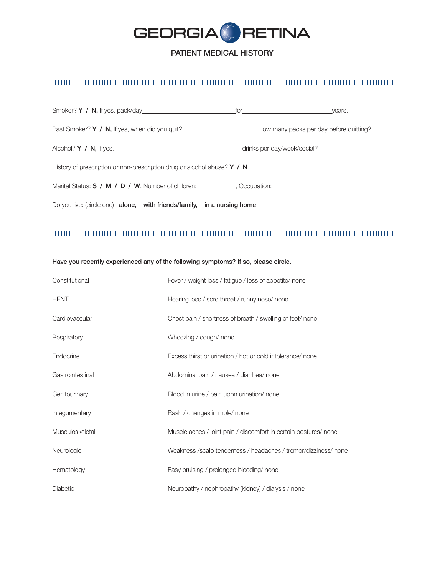

## PATIENT MEDICAL HISTORY

#### 

|                                                                                                                                | $for \underline{\hspace{1cm}} \underline{\hspace{1cm}} \underline{\hspace{1cm}} \underline{\hspace{1cm}} \underline{\hspace{1cm}} \underline{\hspace{1cm}} \underline{\hspace{1cm}} \underline{\hspace{1cm}} \underline{\hspace{1cm}} \underline{\hspace{1cm}} \underline{\hspace{1cm}} \underline{\hspace{1cm}} \underline{\hspace{1cm}} \underline{\hspace{1cm}} \underline{\hspace{1cm}} \underline{\hspace{1cm}} \underline{\hspace{1cm}} \underline{\hspace{1cm}} \underline{\hspace{1cm}} \underline{\hspace{1cm}} \underline{\hspace{1cm}} \underline{\hspace{1cm}} \underline{\hspace{1cm}} \underline{\hspace{1cm}} \underline{\$ | years. |  |  |
|--------------------------------------------------------------------------------------------------------------------------------|--------------------------------------------------------------------------------------------------------------------------------------------------------------------------------------------------------------------------------------------------------------------------------------------------------------------------------------------------------------------------------------------------------------------------------------------------------------------------------------------------------------------------------------------------------------------------------------------------------------------------------------------|--------|--|--|
| Past Smoker? Y / N, If yes, when did you quit? _________________________________How many packs per day before quitting?_______ |                                                                                                                                                                                                                                                                                                                                                                                                                                                                                                                                                                                                                                            |        |  |  |
|                                                                                                                                | _drinks per day/week/social?                                                                                                                                                                                                                                                                                                                                                                                                                                                                                                                                                                                                               |        |  |  |
| History of prescription or non-prescription drug or alcohol abuse? $Y / N$                                                     |                                                                                                                                                                                                                                                                                                                                                                                                                                                                                                                                                                                                                                            |        |  |  |
| Marital Status: S / M / D / W, Number of children: ___________, Occupation: ________________________                           |                                                                                                                                                                                                                                                                                                                                                                                                                                                                                                                                                                                                                                            |        |  |  |
| Do you live: (circle one) alone, with friends/family, in a nursing home                                                        |                                                                                                                                                                                                                                                                                                                                                                                                                                                                                                                                                                                                                                            |        |  |  |

#### Have you recently experienced any of the following symptoms? If so, please circle.

| Constitutional   | Fever / weight loss / fatigue / loss of appetite/ none           |
|------------------|------------------------------------------------------------------|
| <b>HENT</b>      | Hearing loss / sore throat / runny nose/ none                    |
| Cardiovascular   | Chest pain / shortness of breath / swelling of feet/ none        |
| Respiratory      | Wheezing / cough/ none                                           |
| Endocrine        | Excess thirst or urination / hot or cold intolerance/ none       |
| Gastrointestinal | Abdominal pain / nausea / diarrhea/ none                         |
| Genitourinary    | Blood in urine / pain upon urination/ none                       |
| Integumentary    | Rash / changes in mole/ none                                     |
| Musculoskeletal  | Muscle aches / joint pain / discomfort in certain postures/ none |
| Neurologic       | Weakness /scalp tenderness / headaches / tremor/dizziness/ none  |
| Hematology       | Easy bruising / prolonged bleeding/ none                         |
| Diabetic         | Neuropathy / nephropathy (kidney) / dialysis / none              |